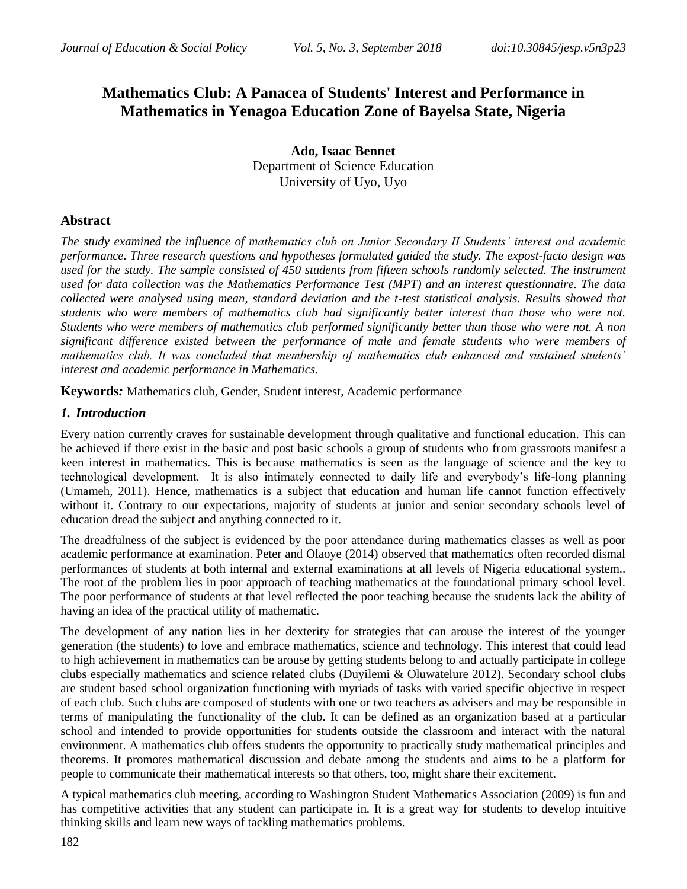# **Mathematics Club: A Panacea of Students' Interest and Performance in Mathematics in Yenagoa Education Zone of Bayelsa State, Nigeria**

**Ado, Isaac Bennet** Department of Science Education University of Uyo, Uyo

# **Abstract**

*The study examined the influence of mathematics club on Junior Secondary II Students' interest and academic performance. Three research questions and hypotheses formulated guided the study. The expost-facto design was*  used for the study. The sample consisted of 450 students from fifteen schools randomly selected. The instrument *used for data collection was the Mathematics Performance Test (MPT) and an interest questionnaire. The data collected were analysed using mean, standard deviation and the t-test statistical analysis. Results showed that students who were members of mathematics club had significantly better interest than those who were not. Students who were members of mathematics club performed significantly better than those who were not. A non significant difference existed between the performance of male and female students who were members of mathematics club. It was concluded that membership of mathematics club enhanced and sustained students' interest and academic performance in Mathematics.* 

**Keywords***:* Mathematics club, Gender, Student interest, Academic performance

# *1. Introduction*

Every nation currently craves for sustainable development through qualitative and functional education. This can be achieved if there exist in the basic and post basic schools a group of students who from grassroots manifest a keen interest in mathematics. This is because mathematics is seen as the language of science and the key to technological development. It is also intimately connected to daily life and everybody's life-long planning (Umameh, 2011). Hence, mathematics is a subject that education and human life cannot function effectively without it. Contrary to our expectations, majority of students at junior and senior secondary schools level of education dread the subject and anything connected to it.

The dreadfulness of the subject is evidenced by the poor attendance during mathematics classes as well as poor academic performance at examination. Peter and Olaoye (2014) observed that mathematics often recorded dismal performances of students at both internal and external examinations at all levels of Nigeria educational system.. The root of the problem lies in poor approach of teaching mathematics at the foundational primary school level. The poor performance of students at that level reflected the poor teaching because the students lack the ability of having an idea of the practical utility of mathematic.

The development of any nation lies in her dexterity for strategies that can arouse the interest of the younger generation (the students) to love and embrace mathematics, science and technology. This interest that could lead to high achievement in mathematics can be arouse by getting students belong to and actually participate in college clubs especially mathematics and science related clubs (Duyilemi & Oluwatelure 2012). Secondary school clubs are student based school organization functioning with myriads of tasks with varied specific objective in respect of each club. Such clubs are composed of students with one or two teachers as advisers and may be responsible in terms of manipulating the functionality of the club. It can be defined as an organization based at a particular school and intended to provide opportunities for students outside the classroom and interact with the natural environment. A mathematics club offers students the opportunity to practically study mathematical principles and theorems. It promotes mathematical discussion and debate among the students and aims to be a platform for people to communicate their mathematical interests so that others, too, might share their excitement.

A typical mathematics club meeting, according to Washington Student Mathematics Association (2009) is fun and has competitive activities that any student can participate in. It is a great way for students to develop intuitive thinking skills and learn new ways of tackling mathematics problems.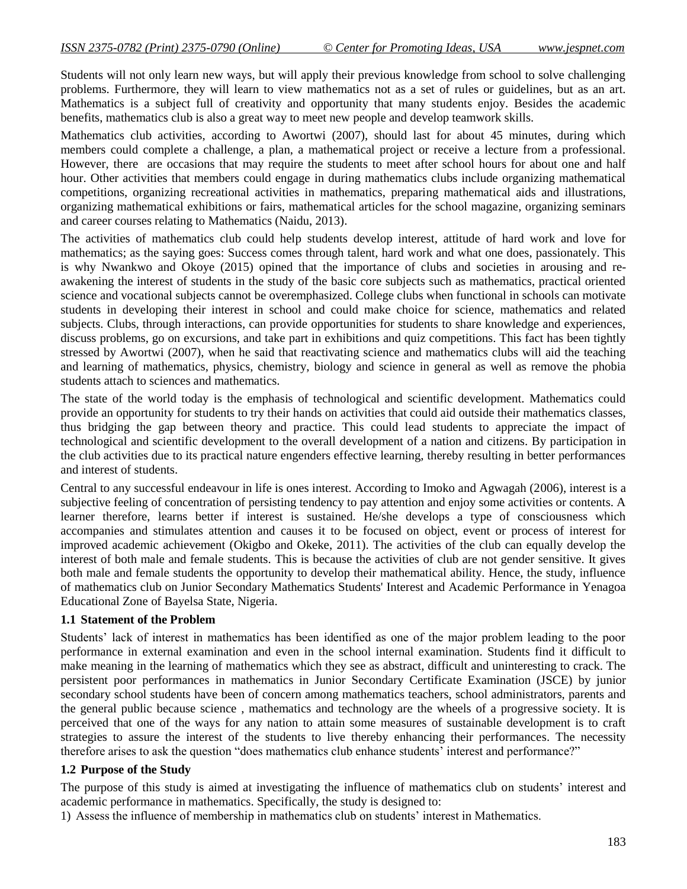Students will not only learn new ways, but will apply their previous knowledge from school to solve challenging problems. Furthermore, they will learn to view mathematics not as a set of rules or guidelines, but as an art. Mathematics is a subject full of creativity and opportunity that many students enjoy. Besides the academic benefits, mathematics club is also a great way to meet new people and develop teamwork skills.

Mathematics club activities, according to Awortwi (2007), should last for about 45 minutes, during which members could complete a challenge, a plan, a mathematical project or receive a lecture from a professional. However, there are occasions that may require the students to meet after school hours for about one and half hour. Other activities that members could engage in during mathematics clubs include organizing mathematical competitions, organizing recreational activities in mathematics, preparing mathematical aids and illustrations, organizing mathematical exhibitions or fairs, mathematical articles for the school magazine, organizing seminars and career courses relating to Mathematics (Naidu, 2013).

The activities of mathematics club could help students develop interest, attitude of hard work and love for mathematics; as the saying goes: Success comes through talent, hard work and what one does, passionately. This is why Nwankwo and Okoye (2015) opined that the importance of clubs and societies in arousing and reawakening the interest of students in the study of the basic core subjects such as mathematics, practical oriented science and vocational subjects cannot be overemphasized. College clubs when functional in schools can motivate students in developing their interest in school and could make choice for science, mathematics and related subjects. Clubs, through interactions, can provide opportunities for students to share knowledge and experiences, discuss problems, go on excursions, and take part in exhibitions and quiz competitions. This fact has been tightly stressed by Awortwi (2007), when he said that reactivating science and mathematics clubs will aid the teaching and learning of mathematics, physics, chemistry, biology and science in general as well as remove the phobia students attach to sciences and mathematics.

The state of the world today is the emphasis of technological and scientific development. Mathematics could provide an opportunity for students to try their hands on activities that could aid outside their mathematics classes, thus bridging the gap between theory and practice. This could lead students to appreciate the impact of technological and scientific development to the overall development of a nation and citizens. By participation in the club activities due to its practical nature engenders effective learning, thereby resulting in better performances and interest of students.

Central to any successful endeavour in life is ones interest. According to Imoko and Agwagah (2006), interest is a subjective feeling of concentration of persisting tendency to pay attention and enjoy some activities or contents. A learner therefore, learns better if interest is sustained. He/she develops a type of consciousness which accompanies and stimulates attention and causes it to be focused on object, event or process of interest for improved academic achievement (Okigbo and Okeke, 2011). The activities of the club can equally develop the interest of both male and female students. This is because the activities of club are not gender sensitive. It gives both male and female students the opportunity to develop their mathematical ability. Hence, the study, influence of mathematics club on Junior Secondary Mathematics Students' Interest and Academic Performance in Yenagoa Educational Zone of Bayelsa State, Nigeria.

#### **1.1 Statement of the Problem**

Students' lack of interest in mathematics has been identified as one of the major problem leading to the poor performance in external examination and even in the school internal examination. Students find it difficult to make meaning in the learning of mathematics which they see as abstract, difficult and uninteresting to crack. The persistent poor performances in mathematics in Junior Secondary Certificate Examination (JSCE) by junior secondary school students have been of concern among mathematics teachers, school administrators, parents and the general public because science , mathematics and technology are the wheels of a progressive society. It is perceived that one of the ways for any nation to attain some measures of sustainable development is to craft strategies to assure the interest of the students to live thereby enhancing their performances. The necessity therefore arises to ask the question "does mathematics club enhance students' interest and performance?"

#### **1.2 Purpose of the Study**

The purpose of this study is aimed at investigating the influence of mathematics club on students' interest and academic performance in mathematics. Specifically, the study is designed to:

1) Assess the influence of membership in mathematics club on students' interest in Mathematics.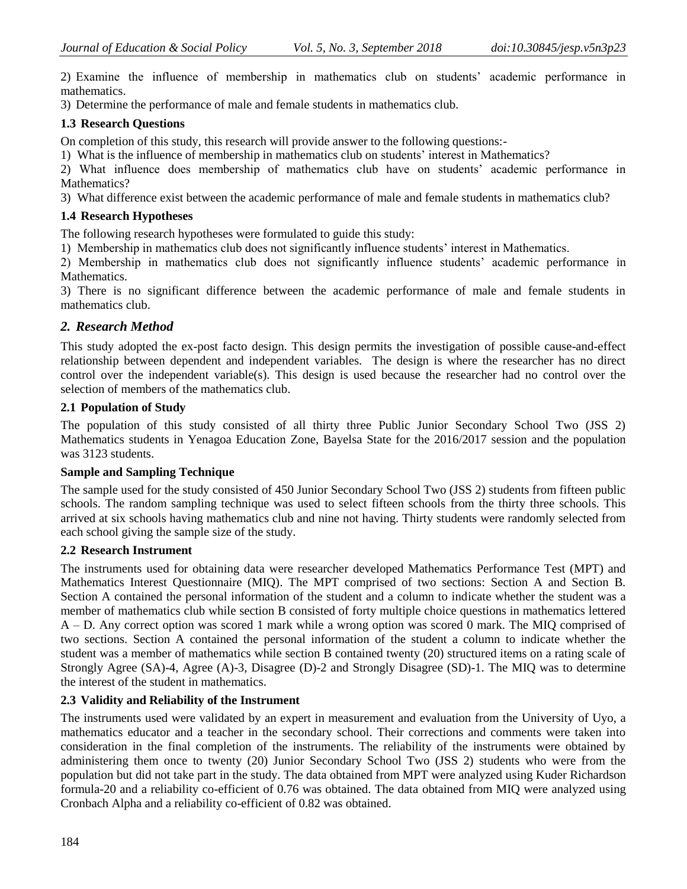2) Examine the influence of membership in mathematics club on students' academic performance in mathematics.

3) Determine the performance of male and female students in mathematics club.

# **1.3 Research Questions**

On completion of this study, this research will provide answer to the following questions:-

1) What is the influence of membership in mathematics club on students' interest in Mathematics?

2) What influence does membership of mathematics club have on students' academic performance in Mathematics?

3) What difference exist between the academic performance of male and female students in mathematics club?

# **1.4 Research Hypotheses**

The following research hypotheses were formulated to guide this study:

1) Membership in mathematics club does not significantly influence students' interest in Mathematics.

2) Membership in mathematics club does not significantly influence students' academic performance in Mathematics.

3) There is no significant difference between the academic performance of male and female students in mathematics club.

# *2. Research Method*

This study adopted the ex-post facto design. This design permits the investigation of possible cause-and-effect relationship between dependent and independent variables. The design is where the researcher has no direct control over the independent variable(s). This design is used because the researcher had no control over the selection of members of the mathematics club.

# **2.1 Population of Study**

The population of this study consisted of all thirty three Public Junior Secondary School Two (JSS 2) Mathematics students in Yenagoa Education Zone, Bayelsa State for the 2016/2017 session and the population was 3123 students.

# **Sample and Sampling Technique**

The sample used for the study consisted of 450 Junior Secondary School Two (JSS 2) students from fifteen public schools. The random sampling technique was used to select fifteen schools from the thirty three schools. This arrived at six schools having mathematics club and nine not having. Thirty students were randomly selected from each school giving the sample size of the study.

# **2.2 Research Instrument**

The instruments used for obtaining data were researcher developed Mathematics Performance Test (MPT) and Mathematics Interest Questionnaire (MIQ). The MPT comprised of two sections: Section A and Section B. Section A contained the personal information of the student and a column to indicate whether the student was a member of mathematics club while section B consisted of forty multiple choice questions in mathematics lettered A – D. Any correct option was scored 1 mark while a wrong option was scored 0 mark. The MIQ comprised of two sections. Section A contained the personal information of the student a column to indicate whether the student was a member of mathematics while section B contained twenty (20) structured items on a rating scale of Strongly Agree (SA)-4, Agree (A)-3, Disagree (D)-2 and Strongly Disagree (SD)-1. The MIQ was to determine the interest of the student in mathematics.

# **2.3 Validity and Reliability of the Instrument**

The instruments used were validated by an expert in measurement and evaluation from the University of Uyo, a mathematics educator and a teacher in the secondary school. Their corrections and comments were taken into consideration in the final completion of the instruments. The reliability of the instruments were obtained by administering them once to twenty (20) Junior Secondary School Two (JSS 2) students who were from the population but did not take part in the study. The data obtained from MPT were analyzed using Kuder Richardson formula-20 and a reliability co-efficient of 0.76 was obtained. The data obtained from MIQ were analyzed using Cronbach Alpha and a reliability co-efficient of 0.82 was obtained.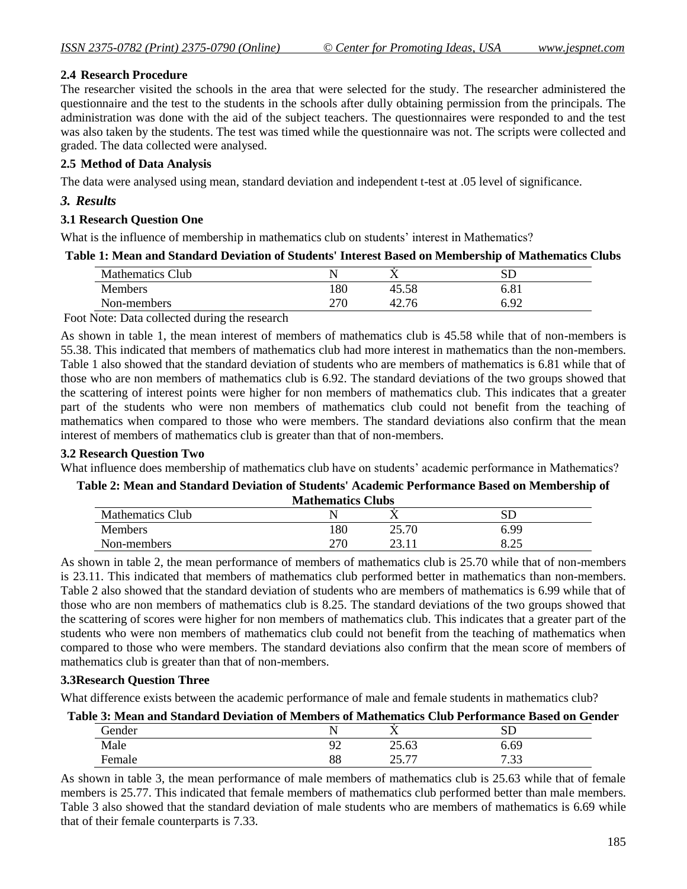# **2.4 Research Procedure**

The researcher visited the schools in the area that were selected for the study. The researcher administered the questionnaire and the test to the students in the schools after dully obtaining permission from the principals. The administration was done with the aid of the subject teachers. The questionnaires were responded to and the test was also taken by the students. The test was timed while the questionnaire was not. The scripts were collected and graded. The data collected were analysed.

# **2.5 Method of Data Analysis**

The data were analysed using mean, standard deviation and independent t-test at .05 level of significance.

# *3. Results*

#### **3.1 Research Question One**

What is the influence of membership in mathematics club on students' interest in Mathematics?

#### **Table 1: Mean and Standard Deviation of Students' Interest Based on Membership of Mathematics Clubs**

| <b>Mathematics Club</b> |     | . .             | بالان         |
|-------------------------|-----|-----------------|---------------|
| Members                 | 180 | 45.58           | 0.01          |
| Non-members             | 270 | $\sim$<br>ł2.70 | $\Omega$<br>╯ |

Foot Note: Data collected during the research

As shown in table 1, the mean interest of members of mathematics club is 45.58 while that of non-members is 55.38. This indicated that members of mathematics club had more interest in mathematics than the non-members. Table 1 also showed that the standard deviation of students who are members of mathematics is 6.81 while that of those who are non members of mathematics club is 6.92. The standard deviations of the two groups showed that the scattering of interest points were higher for non members of mathematics club. This indicates that a greater part of the students who were non members of mathematics club could not benefit from the teaching of mathematics when compared to those who were members. The standard deviations also confirm that the mean interest of members of mathematics club is greater than that of non-members.

# **3.2 Research Question Two**

What influence does membership of mathematics club have on students' academic performance in Mathematics?

# **Table 2: Mean and Standard Deviation of Students' Academic Performance Based on Membership of Mathematics Clubs**

| <b>Mathematics Club</b> |              |       | SC                     |  |  |  |
|-------------------------|--------------|-------|------------------------|--|--|--|
| <b>Members</b>          | .80          | 25.70 | 6.99                   |  |  |  |
| Non-members             | าาเ<br>4 I V | رے    | $\cap \subset$<br>ل∠.ه |  |  |  |

As shown in table 2, the mean performance of members of mathematics club is 25.70 while that of non-members is 23.11. This indicated that members of mathematics club performed better in mathematics than non-members. Table 2 also showed that the standard deviation of students who are members of mathematics is 6.99 while that of those who are non members of mathematics club is 8.25. The standard deviations of the two groups showed that the scattering of scores were higher for non members of mathematics club. This indicates that a greater part of the students who were non members of mathematics club could not benefit from the teaching of mathematics when compared to those who were members. The standard deviations also confirm that the mean score of members of mathematics club is greater than that of non-members.

#### **3.3Research Question Three**

What difference exists between the academic performance of male and female students in mathematics club?

# **Table 3: Mean and Standard Deviation of Members of Mathematics Club Performance Based on Gender**

| Gender   |          | . .                                                   |                    |  |
|----------|----------|-------------------------------------------------------|--------------------|--|
| Male<br> | ΩΩ<br>∽  | $\sim$ $-$<br>$\sim$<br>$\omega$ .v                   | 6.69               |  |
|          | ΩΩ<br>oo | $\overline{\phantom{a}}$<br>$\sim$ $\sim$<br><u>.</u> | $\sim$ $\sim$<br>. |  |

As shown in table 3, the mean performance of male members of mathematics club is 25.63 while that of female members is 25.77. This indicated that female members of mathematics club performed better than male members. Table 3 also showed that the standard deviation of male students who are members of mathematics is 6.69 while that of their female counterparts is 7.33.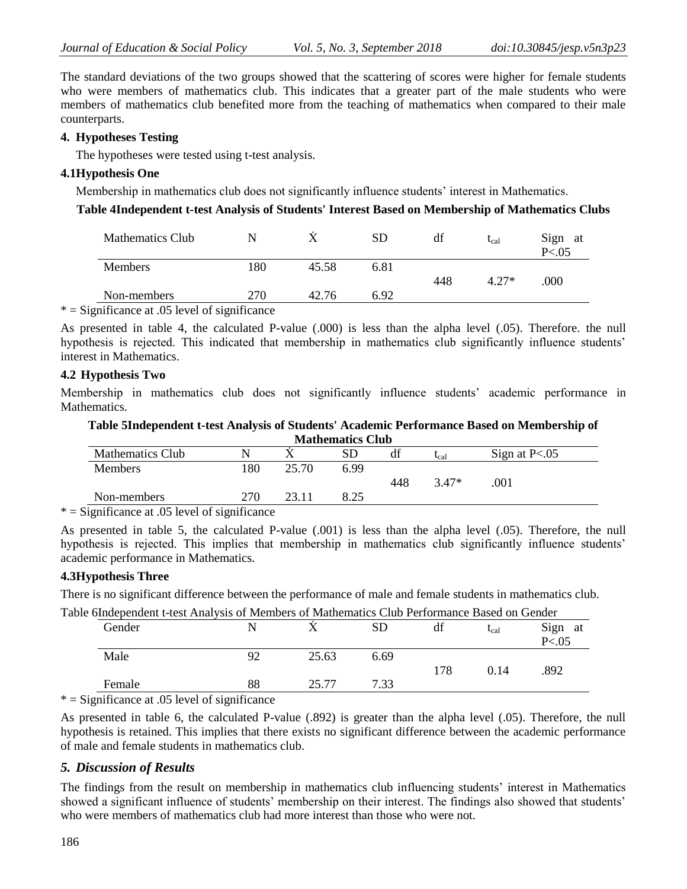The standard deviations of the two groups showed that the scattering of scores were higher for female students who were members of mathematics club. This indicates that a greater part of the male students who were members of mathematics club benefited more from the teaching of mathematics when compared to their male counterparts.

#### **4. Hypotheses Testing**

The hypotheses were tested using t-test analysis.

# **4.1Hypothesis One**

Membership in mathematics club does not significantly influence students' interest in Mathematics.

# **Table 4Independent t-test Analysis of Students' Interest Based on Membership of Mathematics Clubs**

| <b>Mathematics Club</b>                         |     |       | SD   | df  | $t_{\text{cal}}$ | Sign at<br>P < 0.05 |
|-------------------------------------------------|-----|-------|------|-----|------------------|---------------------|
| <b>Members</b>                                  | 180 | 45.58 | 6.81 | 448 | $4.27*$          | .000                |
| Non-members                                     | 270 | 42.76 | 6.92 |     |                  |                     |
| $*$ = Significance at .05 level of significance |     |       |      |     |                  |                     |

As presented in table 4, the calculated P-value (.000) is less than the alpha level (.05). Therefore. the null hypothesis is rejected. This indicated that membership in mathematics club significantly influence students' interest in Mathematics.

#### **4.2 Hypothesis Two**

Membership in mathematics club does not significantly influence students' academic performance in Mathematics.

#### **Table 5Independent t-test Analysis of Students' Academic Performance Based on Membership of Mathematics Club**

| waatheman Crap          |     |       |           |     |         |                 |  |
|-------------------------|-----|-------|-----------|-----|---------|-----------------|--|
| <b>Mathematics Club</b> | N   |       | SD<br>راد | df  | $t$ cal | Sign at $P<.05$ |  |
| <b>Members</b>          | 80  | 25.70 | 6.99      |     |         |                 |  |
|                         |     |       |           | 448 | $3.47*$ | .001            |  |
| Non-members             | 270 |       | 8.25      |     |         |                 |  |
| .                       |     |       |           |     |         |                 |  |

 $*$  = Significance at .05 level of significance

As presented in table 5, the calculated P-value (.001) is less than the alpha level (.05). Therefore, the null hypothesis is rejected. This implies that membership in mathematics club significantly influence students' academic performance in Mathematics.

#### **4.3Hypothesis Three**

There is no significant difference between the performance of male and female students in mathematics club.

| Table 6Independent t-test Analysis of Members of Mathematics Club Performance Based on Gender |    |       |      |     |           |            |
|-----------------------------------------------------------------------------------------------|----|-------|------|-----|-----------|------------|
| Gender                                                                                        |    |       |      | df  | $t_{cal}$ | Sign<br>at |
|                                                                                               |    |       |      |     |           | P < 0.05   |
| Male                                                                                          | 92 | 25.63 | 6.69 |     |           |            |
|                                                                                               |    |       |      | 178 | 0.14      | .892       |
| Female                                                                                        | 88 | 25.77 | 7 33 |     |           |            |

 $* =$  Significance at .05 level of significance

As presented in table 6, the calculated P-value (.892) is greater than the alpha level (.05). Therefore, the null hypothesis is retained. This implies that there exists no significant difference between the academic performance of male and female students in mathematics club.

# *5. Discussion of Results*

The findings from the result on membership in mathematics club influencing students' interest in Mathematics showed a significant influence of students' membership on their interest. The findings also showed that students' who were members of mathematics club had more interest than those who were not.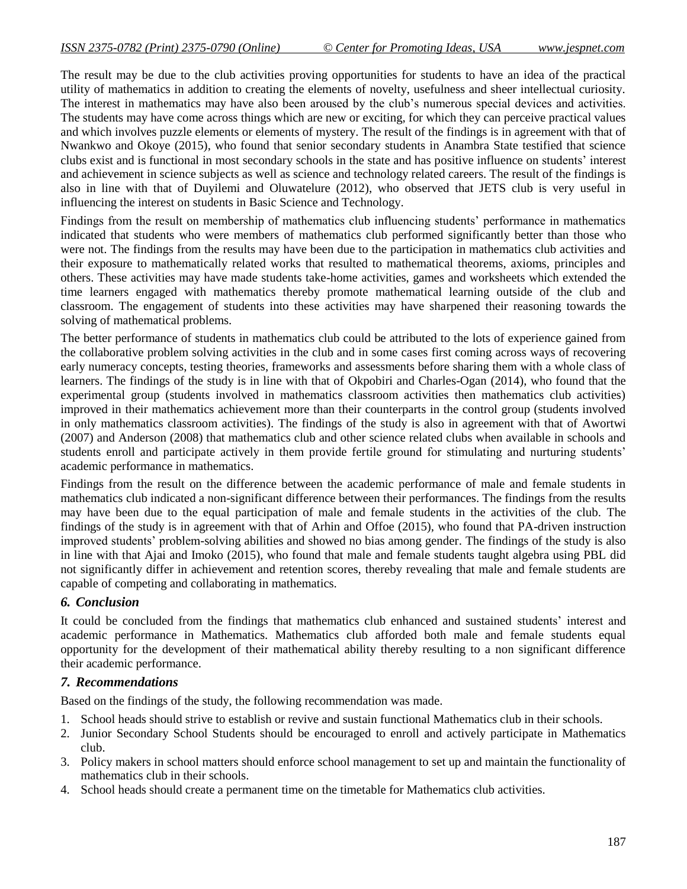The result may be due to the club activities proving opportunities for students to have an idea of the practical utility of mathematics in addition to creating the elements of novelty, usefulness and sheer intellectual curiosity. The interest in mathematics may have also been aroused by the club's numerous special devices and activities. The students may have come across things which are new or exciting, for which they can perceive practical values and which involves puzzle elements or elements of mystery. The result of the findings is in agreement with that of Nwankwo and Okoye (2015), who found that senior secondary students in Anambra State testified that science clubs exist and is functional in most secondary schools in the state and has positive influence on students' interest and achievement in science subjects as well as science and technology related careers. The result of the findings is also in line with that of Duyilemi and Oluwatelure (2012), who observed that JETS club is very useful in influencing the interest on students in Basic Science and Technology.

Findings from the result on membership of mathematics club influencing students' performance in mathematics indicated that students who were members of mathematics club performed significantly better than those who were not. The findings from the results may have been due to the participation in mathematics club activities and their exposure to mathematically related works that resulted to mathematical theorems, axioms, principles and others. These activities may have made students take-home activities, games and worksheets which extended the time learners engaged with mathematics thereby promote mathematical learning outside of the club and classroom. The engagement of students into these activities may have sharpened their reasoning towards the solving of mathematical problems.

The better performance of students in mathematics club could be attributed to the lots of experience gained from the collaborative problem solving activities in the club and in some cases first coming across ways of recovering early numeracy concepts, testing theories, frameworks and assessments before sharing them with a whole class of learners. The findings of the study is in line with that of Okpobiri and Charles-Ogan (2014), who found that the experimental group (students involved in mathematics classroom activities then mathematics club activities) improved in their mathematics achievement more than their counterparts in the control group (students involved in only mathematics classroom activities). The findings of the study is also in agreement with that of Awortwi (2007) and Anderson (2008) that mathematics club and other science related clubs when available in schools and students enroll and participate actively in them provide fertile ground for stimulating and nurturing students' academic performance in mathematics.

Findings from the result on the difference between the academic performance of male and female students in mathematics club indicated a non-significant difference between their performances. The findings from the results may have been due to the equal participation of male and female students in the activities of the club. The findings of the study is in agreement with that of Arhin and Offoe (2015), who found that PA-driven instruction improved students' problem-solving abilities and showed no bias among gender. The findings of the study is also in line with that Ajai and Imoko (2015), who found that male and female students taught algebra using PBL did not significantly differ in achievement and retention scores, thereby revealing that male and female students are capable of competing and collaborating in mathematics.

#### *6. Conclusion*

It could be concluded from the findings that mathematics club enhanced and sustained students' interest and academic performance in Mathematics. Mathematics club afforded both male and female students equal opportunity for the development of their mathematical ability thereby resulting to a non significant difference their academic performance.

#### *7. Recommendations*

Based on the findings of the study, the following recommendation was made.

- 1. School heads should strive to establish or revive and sustain functional Mathematics club in their schools.
- 2. Junior Secondary School Students should be encouraged to enroll and actively participate in Mathematics club.
- 3. Policy makers in school matters should enforce school management to set up and maintain the functionality of mathematics club in their schools.
- 4. School heads should create a permanent time on the timetable for Mathematics club activities.